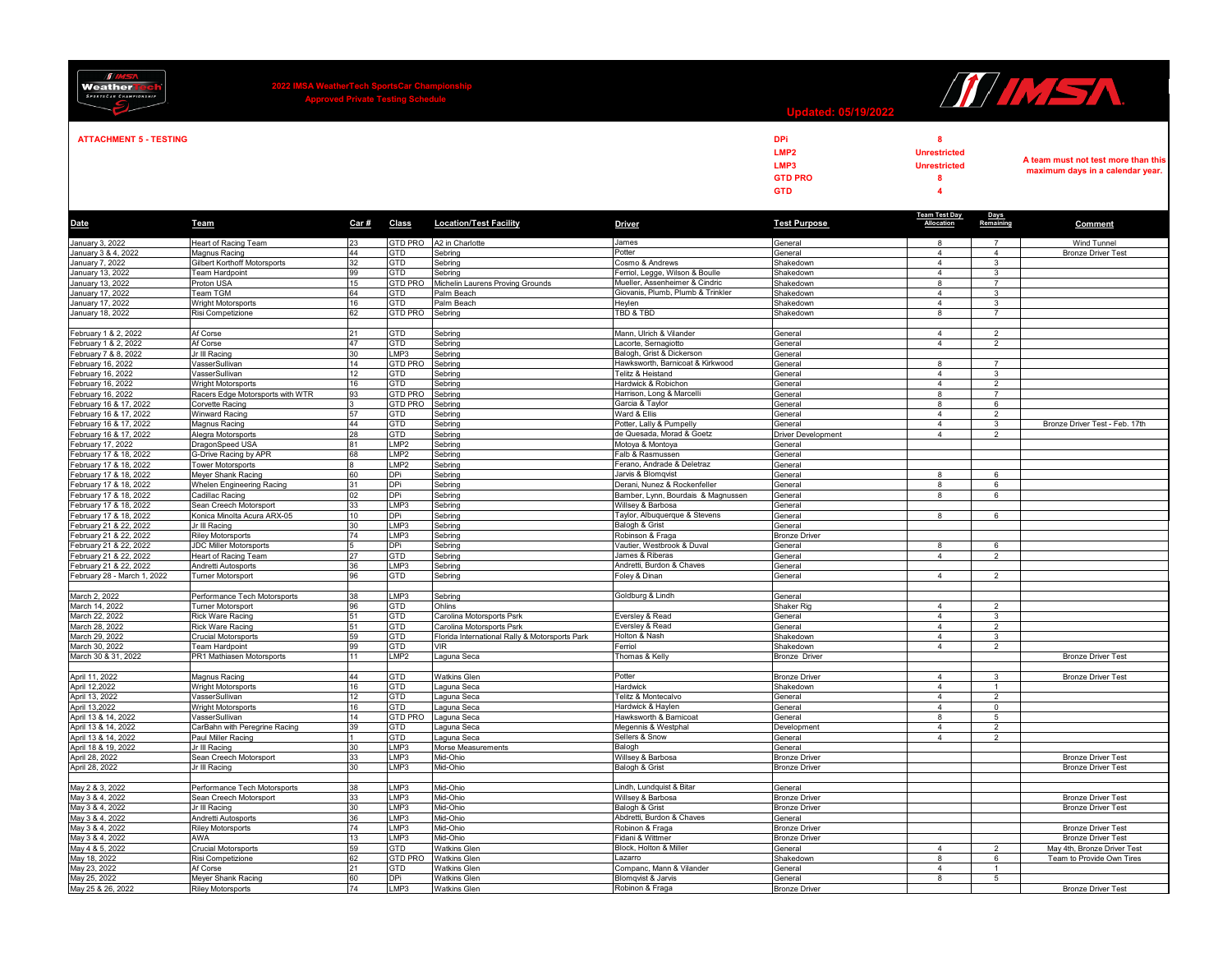| <b>II IMST</b><br><b>Weather</b><br><b>SPORTSCAR CHAMPIONSHIP</b>                                                                                   | 2022 IMSA WeatherTech SportsCar Champion<br>Approved Private Testing Schedule |          |                         |                                                |                                                                    | II IMSA<br><b>Updated: 05/19/2022</b>                           |                                                                               |                                |                                                                         |  |
|-----------------------------------------------------------------------------------------------------------------------------------------------------|-------------------------------------------------------------------------------|----------|-------------------------|------------------------------------------------|--------------------------------------------------------------------|-----------------------------------------------------------------|-------------------------------------------------------------------------------|--------------------------------|-------------------------------------------------------------------------|--|
| <b>ATTACHMENT 5 - TESTING</b>                                                                                                                       |                                                                               |          |                         |                                                |                                                                    | <b>DPi</b><br>LMP <sub>2</sub><br>LMP3<br><b>GTD PRO</b><br>GTD | 8<br><b>Unrestricted</b><br><b>Unrestricted</b><br>8<br>$\boldsymbol{\Delta}$ |                                | A team must not test more than this<br>maximum days in a calendar year. |  |
| Date                                                                                                                                                | Team                                                                          | Car#     | Class                   | <b>Location/Test Facility</b>                  | <b>Driver</b>                                                      | <b>Test Purpose</b>                                             | <b>Team Test Day</b><br>Allocation                                            | Days<br>Remaining              | <b>Comment</b>                                                          |  |
| January 3, 2022<br>January 3 & 4, 2022                                                                                                              | Heart of Racing Team                                                          | 23       | GTD PRO                 | A2 in Charlotte                                | James                                                              | General                                                         | 8                                                                             | $\overline{7}$                 | Wind Tunnel                                                             |  |
|                                                                                                                                                     | Magnus Racing                                                                 | 44       | GTD                     | Sebring                                        | Potter                                                             | General                                                         | $\overline{4}$                                                                | $\overline{4}$                 | <b>Bronze Driver Test</b>                                               |  |
| January 7, 2022<br>January 13, 2022                                                                                                                 | Gilbert Korthoff Motorsports<br><b>Team Hardpoint</b>                         | 32<br>99 | GTD<br>GTD              | Sebring<br>Sebring                             | Cosmo & Andrews<br>Ferriol, Legge, Wilson & Boulle                 | Shakedown<br>Shakedown                                          | $\overline{4}$<br>$\overline{4}$                                              | 3<br>3                         |                                                                         |  |
| January 13, 2022                                                                                                                                    | Proton USA                                                                    | 15       | GTD PRO                 | Michelin Laurens Proving Grounds               | Mueller, Assenheimer & Cindric                                     | Shakedown                                                       | 8                                                                             | 7                              |                                                                         |  |
| January 17, 2022                                                                                                                                    | Team TGM                                                                      | 64       | GTD                     | Palm Beach                                     | Giovanis, Plumb, Plumb & Trinkler                                  | Shakedown                                                       | $\overline{4}$                                                                | 3                              |                                                                         |  |
| January 17, 2022                                                                                                                                    | Wright Motorsports                                                            | 16       | GTD                     | Palm Beach                                     | Heylen                                                             | Shakedown                                                       | $\overline{4}$                                                                | $\mathbf{3}$                   |                                                                         |  |
| January 18, 2022                                                                                                                                    | Risi Competizione                                                             | 62       | GTD PRO                 | Sebring                                        | TBD & TBD                                                          | Shakedown                                                       | 8                                                                             | $\overline{7}$                 |                                                                         |  |
| February 1 & 2, 2022                                                                                                                                | Af Corse                                                                      | 21       | GTD                     | Sebring                                        | Mann, Ulrich & Vilander                                            | General                                                         | $\overline{4}$                                                                | $\overline{2}$                 |                                                                         |  |
| February 1 & 2, 2022<br>February 7 & 8, 2022                                                                                                        | Af Corse                                                                      | 47       | GTD                     | Sebring                                        | Lacorte, Sernagiotto                                               | General                                                         | $\overline{4}$                                                                | 2                              |                                                                         |  |
|                                                                                                                                                     | Jr III Racing                                                                 | 30       | LMP3                    | Sebring                                        | Balogh, Grist & Dickerson                                          | General                                                         |                                                                               |                                |                                                                         |  |
| February 16, 2022                                                                                                                                   | VasserSullivan                                                                | 14       | <b>GTD PRO</b>          | Sebring                                        | Hawksworth, Barnicoat & Kirkwood                                   | General                                                         | 8                                                                             | $\overline{7}$                 |                                                                         |  |
| February 16, 2022<br>February 16, 2022                                                                                                              | VasserSullivan<br>Wright Motorsports                                          | 12<br>16 | GTD<br>GTD              | Sebring<br>Sebring                             | Telitz & Heistand<br>Hardwick & Robichon                           | General<br>General                                              | $\overline{4}$<br>$\overline{4}$                                              | $\mathbf{3}$<br>$\overline{2}$ |                                                                         |  |
| February 16, 2022                                                                                                                                   | Racers Edge Motorsports with WTR                                              | 93       | <b>GTD PRO</b>          | Sebring                                        | Harrison, Long & Marcelli                                          | General                                                         | 8                                                                             | $\overline{7}$                 |                                                                         |  |
| February 16 & 17, 2022                                                                                                                              | Corvette Racing                                                               |          | GTD PRO                 | Sebring                                        | Garcia & Taylor                                                    | General                                                         | 8                                                                             | 6                              |                                                                         |  |
| February 16 & 17, 2022                                                                                                                              | Winward Racing                                                                | 57       | GTD                     | Sebring                                        | Ward & Ellis                                                       | General                                                         | $\overline{4}$                                                                | $\overline{2}$                 |                                                                         |  |
| February 16 & 17, 2022                                                                                                                              | Magnus Racing<br>Alegra Motorsports                                           | 44<br>28 | GTD                     | Sebring                                        | Potter, Lally & Pumpelly                                           | General                                                         | $\overline{4}$<br>$\overline{4}$                                              | 3<br>$\overline{2}$            | Bronze Driver Test - Feb. 17th                                          |  |
| February 16 & 17, 2022<br>February 17, 2022                                                                                                         | DragonSpeed USA                                                               | 81       | GTD<br>LMP <sub>2</sub> | Sebring<br>Sebring                             | de Quesada, Morad & Goetz<br>Motoya & Montoya                      | <b>Driver Development</b><br>General                            |                                                                               |                                |                                                                         |  |
| February 17 & 18, 2022                                                                                                                              | G-Drive Racing by APR                                                         | 68       | LMP <sub>2</sub>        | Sebring                                        | Falb & Rasmussen                                                   | General                                                         |                                                                               |                                |                                                                         |  |
| February 17 & 18, 2022                                                                                                                              | <b>Tower Motorsports</b>                                                      |          | LMP <sub>2</sub>        | Sebring                                        | Ferano, Andrade & Deletraz                                         | General                                                         |                                                                               |                                |                                                                         |  |
| February 17 & 18, 2022                                                                                                                              | Meyer Shank Racing                                                            | 60       | DPi                     | Sebring                                        | Jarvis & Blomqvist                                                 | General                                                         | 8                                                                             | 6                              |                                                                         |  |
| February 17 & 18, 2022                                                                                                                              | Whelen Engineering Racing                                                     | 31<br>02 | DPi<br>DPi              | Sebring                                        | Derani, Nunez & Rockenfeller<br>Bamber, Lynn, Bourdais & Magnussen | General                                                         | 8<br>8                                                                        | 6                              |                                                                         |  |
| February 17 & 18, 2022<br>February 17 & 18, 2022                                                                                                    | Cadillac Racing<br>Sean Creech Motorsport                                     | 33       | LMP3                    | Sebring<br>Sebring                             | Willsey & Barbosa                                                  | General<br>General                                              |                                                                               | 6                              |                                                                         |  |
| February 17 & 18, 2022                                                                                                                              | Konica Minolta Acura ARX-05                                                   | 10       | DPi                     | Sebring                                        | Taylor, Albuquerque & Stevens                                      | General                                                         | 8                                                                             | 6                              |                                                                         |  |
| February 21 & 22, 2022                                                                                                                              | Jr III Racing                                                                 | 30       | LMP3                    | Sebring                                        | Balogh & Grist                                                     | General                                                         |                                                                               |                                |                                                                         |  |
| February 21 & 22, 2022                                                                                                                              | <b>Riley Motorsports</b>                                                      | 74       | LMP3                    | Sebring                                        | Robinson & Fraga                                                   | <b>Bronze Driver</b>                                            |                                                                               |                                |                                                                         |  |
| February 21 & 22, 2022<br>February 21 & 22, 2022                                                                                                    | <b>JDC Miller Motorsports</b>                                                 | 27       | DPi<br><b>GTD</b>       | Sebring                                        | Vautier, Westbrook & Duval<br>James & Riberas                      | General                                                         | 8<br>$\overline{4}$                                                           | 6<br>$\overline{2}$            |                                                                         |  |
| February 21 & 22, 2022                                                                                                                              | Heart of Racing Team<br>Andretti Autosports                                   | 36       | LMP3                    | Sebring<br>Sebring                             | Andretti, Burdon & Chaves                                          | General<br>General                                              |                                                                               |                                |                                                                         |  |
| February 28 - March 1, 2022                                                                                                                         | <b>Turner Motorsport</b>                                                      | 96       | GTD                     | Sebring                                        | Foley & Dinan                                                      | General                                                         | $\overline{4}$                                                                | $\overline{2}$                 |                                                                         |  |
|                                                                                                                                                     |                                                                               |          |                         |                                                |                                                                    |                                                                 |                                                                               |                                |                                                                         |  |
| March 2, 2022                                                                                                                                       | Performance Tech Motorsports                                                  | 38       | LMP3                    | Sebring                                        | Goldburg & Lindh                                                   | General                                                         |                                                                               |                                |                                                                         |  |
| March 14, 2022<br>March 22, 2022                                                                                                                    | <b>Turner Motorsport</b><br>Rick Ware Racing                                  | 96<br>51 | GTD<br>GTD              | Ohlins<br>Carolina Motorsports Psrk            | Eversley & Read                                                    | Shaker Rig<br>General                                           | $\overline{4}$<br>$\overline{4}$                                              | $\overline{2}$<br>3            |                                                                         |  |
| March 28, 2022                                                                                                                                      | Rick Ware Racing                                                              | 51       | GTD                     | Carolina Motorsports Psrk                      | Eversley & Read                                                    | General                                                         | $\overline{4}$                                                                | $\overline{2}$                 |                                                                         |  |
| March 29, 2022                                                                                                                                      | <b>Crucial Motorsports</b>                                                    | 59       | GTD                     | Florida International Rally & Motorsports Park | Holton & Nash                                                      | Shakedown                                                       | $\overline{4}$                                                                | 3                              |                                                                         |  |
| March 30, 2022                                                                                                                                      | Team Hardpoint                                                                | 99       | GTD                     | VIR                                            | Ferriol                                                            | Shakedown                                                       | $\overline{4}$                                                                | 2                              |                                                                         |  |
| March 30 & 31, 2022                                                                                                                                 | PR1 Mathiasen Motorsports                                                     | 11       | LMP2                    | Laguna Seca                                    | Thomas & Kelly                                                     | <b>Bronze Driver</b>                                            |                                                                               |                                | <b>Bronze Driver Test</b>                                               |  |
|                                                                                                                                                     | Magnus Racing                                                                 | 44       | GTD                     | Watkins Glen                                   | Potter                                                             | <b>Bronze Driver</b>                                            | $\overline{4}$                                                                | 3                              | <b>Bronze Driver Test</b>                                               |  |
| April 11, 2022<br>April 12,2022                                                                                                                     | Wright Motorsports                                                            | 16       | GTD                     | Laguna Seca                                    | Hardwick                                                           | Shakedown                                                       | $\overline{4}$                                                                | $\mathbf{1}$                   |                                                                         |  |
|                                                                                                                                                     | VasserSullivan                                                                | 12       | GTD                     | Laguna Seca                                    | Telitz & Montecalvo                                                | General                                                         | $\overline{4}$                                                                | $\overline{2}$                 |                                                                         |  |
|                                                                                                                                                     | Wright Motorsports                                                            | 16       | GTD                     | Laguna Seca                                    | Hardwick & Haylen<br>Hawksworth & Barnicoat                        | General                                                         | $\overline{4}$                                                                | $^{\circ}$                     |                                                                         |  |
| April 13, 2022<br>April 13, 2022<br>April 13 & 14, 2022<br>April 13 & 14, 2022<br>April 13 & 14, 2022<br>April 18 & 19, 2022<br>April 18 & 19, 2022 | VasserSullivan<br>CarBahn with Peregrine Racing                               | 14<br>39 | GTD PRO<br>GTD          | Laguna Seca<br>Laguna Seca                     | Megennis & Westphal                                                | General<br>Development                                          | 8<br>4                                                                        | 5<br>$\overline{2}$            |                                                                         |  |
|                                                                                                                                                     | Paul Miller Racing                                                            |          | GTD                     | aguna Seca                                     | Sellers & Snow                                                     | General                                                         | $\overline{4}$                                                                | 2                              |                                                                         |  |
|                                                                                                                                                     | Jr III Racing                                                                 | 30       | LMP3                    | Morse Measurements                             | Balogh                                                             | General                                                         |                                                                               |                                |                                                                         |  |
| April 28, 2022<br>April 28, 2022                                                                                                                    | Sean Creech Motorsport                                                        | 33       | LMP3                    | Mid-Ohio                                       | Willsey & Barbosa                                                  | <b>Bronze Driver</b>                                            |                                                                               |                                | <b>Bronze Driver Test</b>                                               |  |
|                                                                                                                                                     | Jr III Racing                                                                 | 30       | LMP3                    | Mid-Ohio                                       | Balogh & Grist                                                     | <b>Bronze Driver</b>                                            |                                                                               |                                | <b>Bronze Driver Test</b>                                               |  |
| May 2 & 3, 2022                                                                                                                                     | Performance Tech Motorsports                                                  | 38       | LMP3                    | Mid-Ohio                                       | Lindh, Lundquist & Bitar                                           | General                                                         |                                                                               |                                |                                                                         |  |
| May 3 & 4, 2022                                                                                                                                     | Sean Creech Motorsport                                                        | 33       | LMP3                    | Mid-Ohio                                       | Willsey & Barbosa                                                  | <b>Bronze Driver</b>                                            |                                                                               |                                | <b>Bronze Driver Test</b>                                               |  |
| May 3 & 4, 2022                                                                                                                                     | Jr III Racing                                                                 | 30       | LMP3                    | Mid-Ohio                                       | Balogh & Grist                                                     | <b>Bronze Driver</b>                                            |                                                                               |                                | <b>Bronze Driver Test</b>                                               |  |
| May 3 & 4, 2022                                                                                                                                     | Andretti Autosports<br><b>Riley Motorsports</b>                               | 36<br>74 | LMP3<br>LMP3            | Mid-Ohio                                       | Abdretti, Burdon & Chaves                                          | General<br><b>Bronze Driver</b>                                 |                                                                               |                                | <b>Bronze Driver Test</b>                                               |  |
| May 3 & 4, 2022<br>May 3 & 4, 2022<br>May 4 & 5, 2022                                                                                               | AWA                                                                           | 13       | LMP3                    | Mid-Ohio<br>Mid-Ohio                           | Robinon & Fraga<br>Fidani & Wittmer                                | <b>Bronze Driver</b>                                            |                                                                               |                                | <b>Bronze Driver Test</b>                                               |  |
|                                                                                                                                                     | <b>Crucial Motorsports</b>                                                    | 59       | GTD                     | <b>Watkins Glen</b>                            | Block, Holton & Miller                                             | General                                                         | $\overline{4}$                                                                | $\overline{2}$                 | May 4th, Bronze Driver Test                                             |  |
| May 18, 2022                                                                                                                                        | Risi Competizione                                                             | 62       | <b>GTD PRO</b>          | <b>Watkins Glen</b>                            | Lazarro                                                            | Shakedown                                                       | 8                                                                             | 6                              | Team to Provide Own Tires                                               |  |
| May 23, 2022                                                                                                                                        | Af Corse                                                                      | 21       | GTD                     | Watkins Glen                                   | Companc, Mann & Vilander                                           | General                                                         | $\overline{4}$                                                                | $\mathbf{1}$                   |                                                                         |  |
| May 25, 2022<br>May 25 & 26, 2022                                                                                                                   | Meyer Shank Racing<br>Riley Motorsports                                       | 60<br>74 | DPi<br>LMP3             | <b>Watkins Glen</b><br><b>Watkins Glen</b>     | Blomqvist & Jarvis<br>Robinon & Fraga                              | General<br><b>Bronze Driver</b>                                 | 8                                                                             | -5                             | <b>Bronze Driver Test</b>                                               |  |
|                                                                                                                                                     |                                                                               |          |                         |                                                |                                                                    |                                                                 |                                                                               |                                |                                                                         |  |

 $\sqrt{q/m\epsilon}$